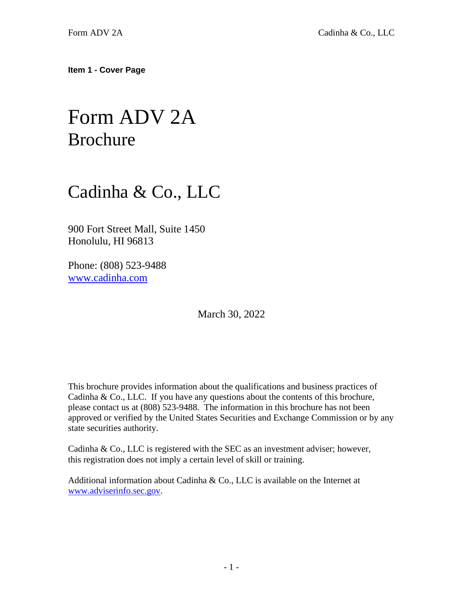<span id="page-0-0"></span>**Item 1 - Cover Page**

# Form ADV 2A Brochure

## Cadinha & Co., LLC

900 Fort Street Mall, Suite 1450 Honolulu, HI 96813

Phone: (808) 523-9488 [www.cadinha.com](http://www.cadinha.com/)

March 30, 2022

This brochure provides information about the qualifications and business practices of Cadinha & Co., LLC. If you have any questions about the contents of this brochure, please contact us at (808) 523-9488. The information in this brochure has not been approved or verified by the United States Securities and Exchange Commission or by any state securities authority.

Cadinha & Co., LLC is registered with the SEC as an investment adviser; however, this registration does not imply a certain level of skill or training.

Additional information about Cadinha & Co., LLC is available on the Internet at [www.adviserinfo.sec.gov.](http://www.adviserinfo.sec.gov/)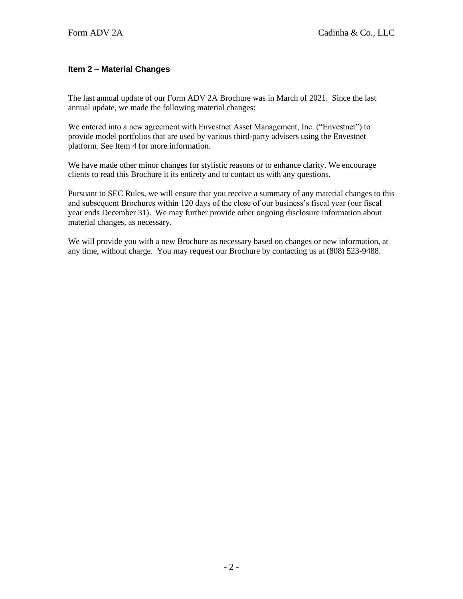## <span id="page-1-0"></span>**Item 2 – Material Changes**

The last annual update of our Form ADV 2A Brochure was in March of 2021. Since the last annual update, we made the following material changes:

We entered into a new agreement with Envestnet Asset Management, Inc. ("Envestnet") to provide model portfolios that are used by various third-party advisers using the Envestnet platform. See Item 4 for more information.

We have made other minor changes for stylistic reasons or to enhance clarity. We encourage clients to read this Brochure it its entirety and to contact us with any questions.

Pursuant to SEC Rules, we will ensure that you receive a summary of any material changes to this and subsequent Brochures within 120 days of the close of our business's fiscal year (our fiscal year ends December 31). We may further provide other ongoing disclosure information about material changes, as necessary.

<span id="page-1-1"></span>We will provide you with a new Brochure as necessary based on changes or new information, at any time, without charge. You may request our Brochure by contacting us at (808) 523-9488.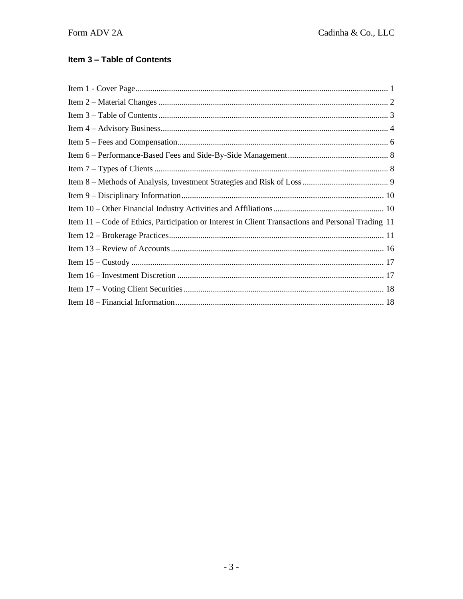## Item 3 - Table of Contents

<span id="page-2-0"></span>

| Item 11 – Code of Ethics, Participation or Interest in Client Transactions and Personal Trading 11 |
|----------------------------------------------------------------------------------------------------|
|                                                                                                    |
|                                                                                                    |
|                                                                                                    |
|                                                                                                    |
|                                                                                                    |
|                                                                                                    |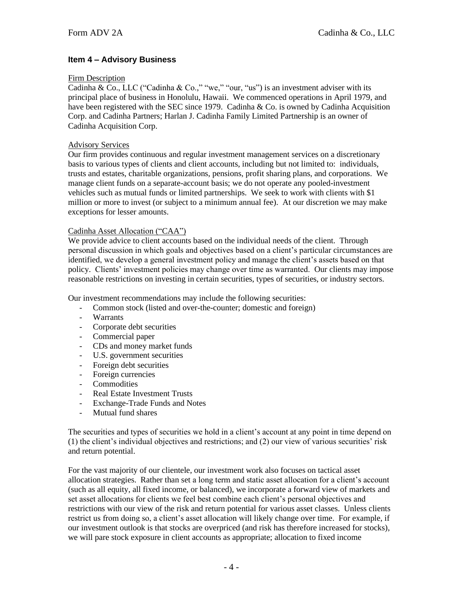## **Item 4 – Advisory Business**

#### Firm Description

Cadinha & Co., LLC ("Cadinha & Co.," "we," "our, "us") is an investment adviser with its principal place of business in Honolulu, Hawaii. We commenced operations in April 1979, and have been registered with the SEC since 1979. Cadinha & Co. is owned by Cadinha Acquisition Corp. and Cadinha Partners; Harlan J. Cadinha Family Limited Partnership is an owner of Cadinha Acquisition Corp.

#### Advisory Services

Our firm provides continuous and regular investment management services on a discretionary basis to various types of clients and client accounts, including but not limited to: individuals, trusts and estates, charitable organizations, pensions, profit sharing plans, and corporations. We manage client funds on a separate-account basis; we do not operate any pooled-investment vehicles such as mutual funds or limited partnerships. We seek to work with clients with \$1 million or more to invest (or subject to a minimum annual fee). At our discretion we may make exceptions for lesser amounts.

#### Cadinha Asset Allocation ("CAA")

We provide advice to client accounts based on the individual needs of the client. Through personal discussion in which goals and objectives based on a client's particular circumstances are identified, we develop a general investment policy and manage the client's assets based on that policy. Clients' investment policies may change over time as warranted. Our clients may impose reasonable restrictions on investing in certain securities, types of securities, or industry sectors.

Our investment recommendations may include the following securities:

- Common stock (listed and over-the-counter; domestic and foreign)
- Warrants
- Corporate debt securities
- Commercial paper
- CDs and money market funds
- U.S. government securities
- Foreign debt securities
- Foreign currencies
- **Commodities**
- Real Estate Investment Trusts
- Exchange-Trade Funds and Notes
- Mutual fund shares

The securities and types of securities we hold in a client's account at any point in time depend on (1) the client's individual objectives and restrictions; and (2) our view of various securities' risk and return potential.

For the vast majority of our clientele, our investment work also focuses on tactical asset allocation strategies. Rather than set a long term and static asset allocation for a client's account (such as all equity, all fixed income, or balanced), we incorporate a forward view of markets and set asset allocations for clients we feel best combine each client's personal objectives and restrictions with our view of the risk and return potential for various asset classes. Unless clients restrict us from doing so, a client's asset allocation will likely change over time. For example, if our investment outlook is that stocks are overpriced (and risk has therefore increased for stocks), we will pare stock exposure in client accounts as appropriate; allocation to fixed income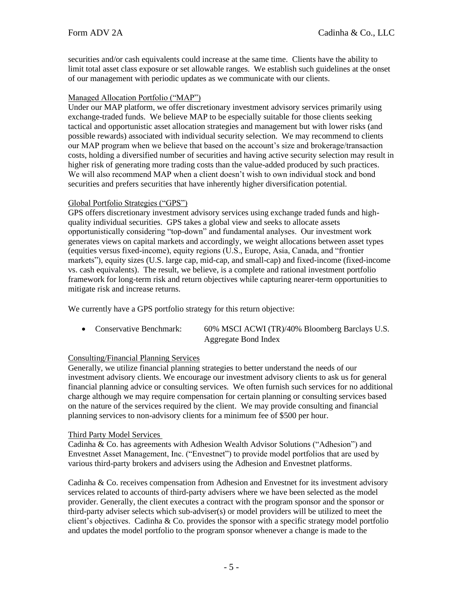securities and/or cash equivalents could increase at the same time. Clients have the ability to limit total asset class exposure or set allowable ranges. We establish such guidelines at the onset of our management with periodic updates as we communicate with our clients.

#### Managed Allocation Portfolio ("MAP")

Under our MAP platform, we offer discretionary investment advisory services primarily using exchange-traded funds. We believe MAP to be especially suitable for those clients seeking tactical and opportunistic asset allocation strategies and management but with lower risks (and possible rewards) associated with individual security selection. We may recommend to clients our MAP program when we believe that based on the account's size and brokerage/transaction costs, holding a diversified number of securities and having active security selection may result in higher risk of generating more trading costs than the value-added produced by such practices. We will also recommend MAP when a client doesn't wish to own individual stock and bond securities and prefers securities that have inherently higher diversification potential.

#### Global Portfolio Strategies ("GPS")

GPS offers discretionary investment advisory services using exchange traded funds and highquality individual securities. GPS takes a global view and seeks to allocate assets opportunistically considering "top-down" and fundamental analyses. Our investment work generates views on capital markets and accordingly, we weight allocations between asset types (equities versus fixed-income), equity regions (U.S., Europe, Asia, Canada, and "frontier markets"), equity sizes (U.S. large cap, mid-cap, and small-cap) and fixed-income (fixed-income vs. cash equivalents). The result, we believe, is a complete and rational investment portfolio framework for long-term risk and return objectives while capturing nearer-term opportunities to mitigate risk and increase returns.

We currently have a GPS portfolio strategy for this return objective:

• Conservative Benchmark: 60% MSCI ACWI (TR)/40% Bloomberg Barclays U.S. Aggregate Bond Index

## Consulting/Financial Planning Services

Generally, we utilize financial planning strategies to better understand the needs of our investment advisory clients. We encourage our investment advisory clients to ask us for general financial planning advice or consulting services. We often furnish such services for no additional charge although we may require compensation for certain planning or consulting services based on the nature of the services required by the client. We may provide consulting and financial planning services to non-advisory clients for a minimum fee of \$500 per hour.

#### Third Party Model Services

Cadinha & Co. has agreements with Adhesion Wealth Advisor Solutions ("Adhesion") and Envestnet Asset Management, Inc. ("Envestnet") to provide model portfolios that are used by various third-party brokers and advisers using the Adhesion and Envestnet platforms.

Cadinha & Co. receives compensation from Adhesion and Envestnet for its investment advisory services related to accounts of third-party advisers where we have been selected as the model provider. Generally, the client executes a contract with the program sponsor and the sponsor or third-party adviser selects which sub-adviser(s) or model providers will be utilized to meet the client's objectives. Cadinha  $& Co.$  provides the sponsor with a specific strategy model portfolio and updates the model portfolio to the program sponsor whenever a change is made to the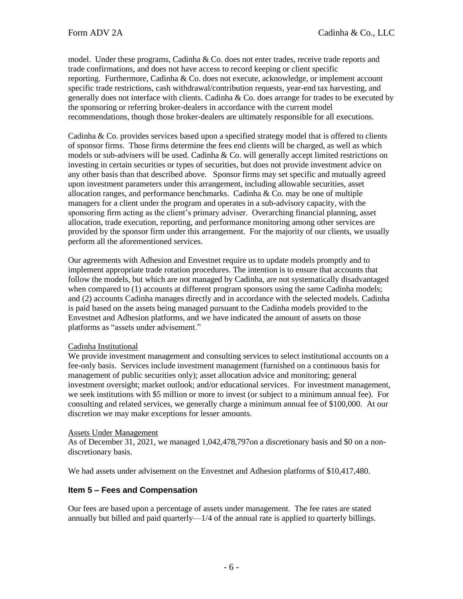model. Under these programs, Cadinha & Co. does not enter trades, receive trade reports and trade confirmations, and does not have access to record keeping or client specific reporting. Furthermore, Cadinha & Co. does not execute, acknowledge, or implement account specific trade restrictions, cash withdrawal/contribution requests, year-end tax harvesting, and generally does not interface with clients. Cadinha & Co. does arrange for trades to be executed by the sponsoring or referring broker-dealers in accordance with the current model recommendations, though those broker-dealers are ultimately responsible for all executions.

Cadinha & Co. provides services based upon a specified strategy model that is offered to clients of sponsor firms. Those firms determine the fees end clients will be charged, as well as which models or sub-advisers will be used. Cadinha & Co. will generally accept limited restrictions on investing in certain securities or types of securities, but does not provide investment advice on any other basis than that described above. Sponsor firms may set specific and mutually agreed upon investment parameters under this arrangement, including allowable securities, asset allocation ranges, and performance benchmarks. Cadinha  $\&$  Co, may be one of multiple managers for a client under the program and operates in a sub-advisory capacity, with the sponsoring firm acting as the client's primary adviser. Overarching financial planning, asset allocation, trade execution, reporting, and performance monitoring among other services are provided by the sponsor firm under this arrangement. For the majority of our clients, we usually perform all the aforementioned services.

Our agreements with Adhesion and Envestnet require us to update models promptly and to implement appropriate trade rotation procedures. The intention is to ensure that accounts that follow the models, but which are not managed by Cadinha, are not systematically disadvantaged when compared to (1) accounts at different program sponsors using the same Cadinha models; and (2) accounts Cadinha manages directly and in accordance with the selected models. Cadinha is paid based on the assets being managed pursuant to the Cadinha models provided to the Envestnet and Adhesion platforms, and we have indicated the amount of assets on those platforms as "assets under advisement."

#### Cadinha Institutional

We provide investment management and consulting services to select institutional accounts on a fee-only basis. Services include investment management (furnished on a continuous basis for management of public securities only); asset allocation advice and monitoring; general investment oversight; market outlook; and/or educational services. For investment management, we seek institutions with \$5 million or more to invest (or subject to a minimum annual fee). For consulting and related services, we generally charge a minimum annual fee of \$100,000. At our discretion we may make exceptions for lesser amounts.

#### Assets Under Management

As of December 31, 2021, we managed 1,042,478,797on a discretionary basis and \$0 on a nondiscretionary basis.

We had assets under advisement on the Envestnet and Adhesion platforms of \$10,417,480.

## <span id="page-5-0"></span>**Item 5 – Fees and Compensation**

Our fees are based upon a percentage of assets under management. The fee rates are stated annually but billed and paid quarterly—1/4 of the annual rate is applied to quarterly billings.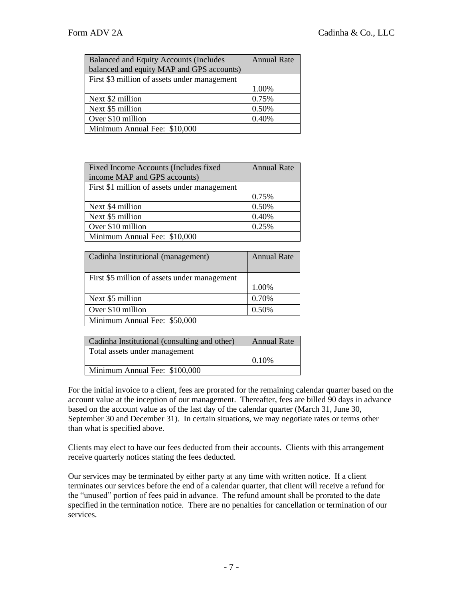| <b>Balanced and Equity Accounts (Includes</b> | <b>Annual Rate</b> |
|-----------------------------------------------|--------------------|
| balanced and equity MAP and GPS accounts)     |                    |
| First \$3 million of assets under management  |                    |
|                                               | 1.00%              |
| Next \$2 million                              | 0.75%              |
| Next \$5 million                              | 0.50%              |
| Over \$10 million                             | 0.40%              |
| Minimum Annual Fee: \$10,000                  |                    |
|                                               |                    |

| Fixed Income Accounts (Includes fixed<br>income MAP and GPS accounts) | <b>Annual Rate</b> |
|-----------------------------------------------------------------------|--------------------|
| First \$1 million of assets under management                          |                    |
|                                                                       | 0.75%              |
| Next \$4 million                                                      | 0.50%              |
| Next \$5 million                                                      | 0.40%              |
| Over \$10 million                                                     | 0.25%              |
| Minimum Annual Fee: \$10,000                                          |                    |

| Cadinha Institutional (management)           | <b>Annual Rate</b> |
|----------------------------------------------|--------------------|
| First \$5 million of assets under management | 1.00%              |
| Next \$5 million                             | 0.70%              |
| Over \$10 million                            | 0.50%              |
| Minimum Annual Fee: \$50,000                 |                    |

| Cadinha Institutional (consulting and other) | <b>Annual Rate</b> |
|----------------------------------------------|--------------------|
| Total assets under management                |                    |
|                                              | 0.10%              |
| Minimum Annual Fee: \$100,000                |                    |
|                                              |                    |

For the initial invoice to a client, fees are prorated for the remaining calendar quarter based on the account value at the inception of our management. Thereafter, fees are billed 90 days in advance based on the account value as of the last day of the calendar quarter (March 31, June 30, September 30 and December 31). In certain situations, we may negotiate rates or terms other than what is specified above.

Clients may elect to have our fees deducted from their accounts. Clients with this arrangement receive quarterly notices stating the fees deducted.

Our services may be terminated by either party at any time with written notice. If a client terminates our services before the end of a calendar quarter, that client will receive a refund for the "unused" portion of fees paid in advance. The refund amount shall be prorated to the date specified in the termination notice. There are no penalties for cancellation or termination of our services.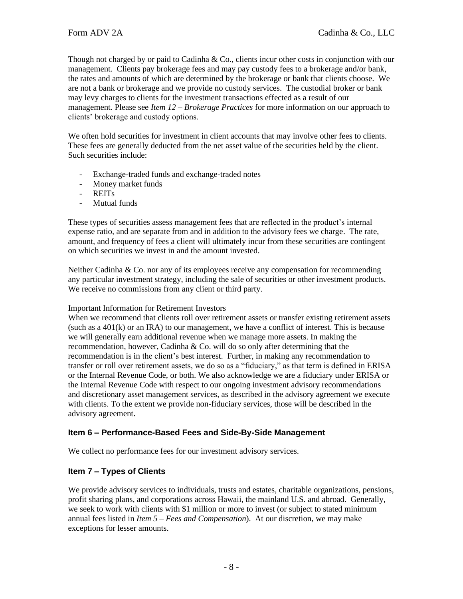Though not charged by or paid to Cadinha & Co., clients incur other costs in conjunction with our management. Clients pay brokerage fees and may pay custody fees to a brokerage and/or bank, the rates and amounts of which are determined by the brokerage or bank that clients choose. We are not a bank or brokerage and we provide no custody services. The custodial broker or bank may levy charges to clients for the investment transactions effected as a result of our management. Please see *Item 12 – Brokerage Practices* for more information on our approach to clients' brokerage and custody options.

We often hold securities for investment in client accounts that may involve other fees to clients. These fees are generally deducted from the net asset value of the securities held by the client. Such securities include:

- Exchange-traded funds and exchange-traded notes
- Money market funds
- REITs
- Mutual funds

These types of securities assess management fees that are reflected in the product's internal expense ratio, and are separate from and in addition to the advisory fees we charge. The rate, amount, and frequency of fees a client will ultimately incur from these securities are contingent on which securities we invest in and the amount invested.

Neither Cadinha & Co. nor any of its employees receive any compensation for recommending any particular investment strategy, including the sale of securities or other investment products. We receive no commissions from any client or third party.

#### Important Information for Retirement Investors

When we recommend that clients roll over retirement assets or transfer existing retirement assets (such as a  $401(k)$  or an IRA) to our management, we have a conflict of interest. This is because we will generally earn additional revenue when we manage more assets. In making the recommendation, however, Cadinha & Co. will do so only after determining that the recommendation is in the client's best interest. Further, in making any recommendation to transfer or roll over retirement assets, we do so as a "fiduciary," as that term is defined in ERISA or the Internal Revenue Code, or both. We also acknowledge we are a fiduciary under ERISA or the Internal Revenue Code with respect to our ongoing investment advisory recommendations and discretionary asset management services, as described in the advisory agreement we execute with clients. To the extent we provide non-fiduciary services, those will be described in the advisory agreement.

## <span id="page-7-0"></span>**Item 6 – Performance-Based Fees and Side-By-Side Management**

We collect no performance fees for our investment advisory services.

## <span id="page-7-1"></span>**Item 7 – Types of Clients**

We provide advisory services to individuals, trusts and estates, charitable organizations, pensions, profit sharing plans, and corporations across Hawaii, the mainland U.S. and abroad. Generally, we seek to work with clients with \$1 million or more to invest (or subject to stated minimum annual fees listed in *Item 5 – Fees and Compensation*). At our discretion, we may make exceptions for lesser amounts.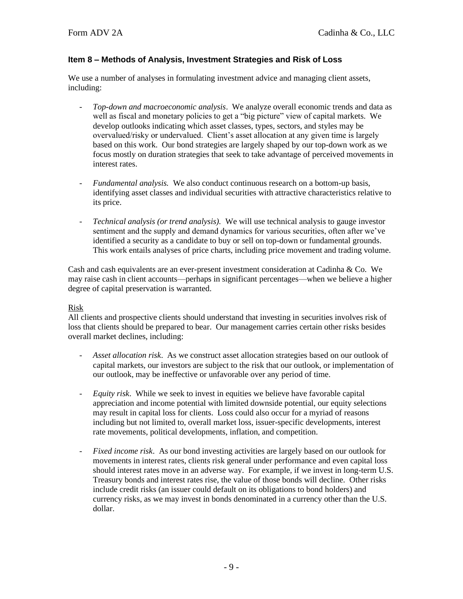## <span id="page-8-0"></span>**Item 8 – Methods of Analysis, Investment Strategies and Risk of Loss**

We use a number of analyses in formulating investment advice and managing client assets, including:

- *Top-down and macroeconomic analysis*. We analyze overall economic trends and data as well as fiscal and monetary policies to get a "big picture" view of capital markets. We develop outlooks indicating which asset classes, types, sectors, and styles may be overvalued/risky or undervalued. Client's asset allocation at any given time is largely based on this work. Our bond strategies are largely shaped by our top-down work as we focus mostly on duration strategies that seek to take advantage of perceived movements in interest rates.
- *Fundamental analysis.* We also conduct continuous research on a bottom-up basis, identifying asset classes and individual securities with attractive characteristics relative to its price.
- *Technical analysis (or trend analysis).* We will use technical analysis to gauge investor sentiment and the supply and demand dynamics for various securities, often after we've identified a security as a candidate to buy or sell on top-down or fundamental grounds. This work entails analyses of price charts, including price movement and trading volume.

Cash and cash equivalents are an ever-present investment consideration at Cadinha & Co. We may raise cash in client accounts—perhaps in significant percentages—when we believe a higher degree of capital preservation is warranted.

#### Risk

All clients and prospective clients should understand that investing in securities involves risk of loss that clients should be prepared to bear. Our management carries certain other risks besides overall market declines, including:

- *Asset allocation risk*. As we construct asset allocation strategies based on our outlook of capital markets, our investors are subject to the risk that our outlook, or implementation of our outlook, may be ineffective or unfavorable over any period of time.
- *Equity risk*. While we seek to invest in equities we believe have favorable capital appreciation and income potential with limited downside potential, our equity selections may result in capital loss for clients. Loss could also occur for a myriad of reasons including but not limited to, overall market loss, issuer-specific developments, interest rate movements, political developments, inflation, and competition.
- *Fixed income risk*. As our bond investing activities are largely based on our outlook for movements in interest rates, clients risk general under performance and even capital loss should interest rates move in an adverse way. For example, if we invest in long-term U.S. Treasury bonds and interest rates rise, the value of those bonds will decline. Other risks include credit risks (an issuer could default on its obligations to bond holders) and currency risks, as we may invest in bonds denominated in a currency other than the U.S. dollar.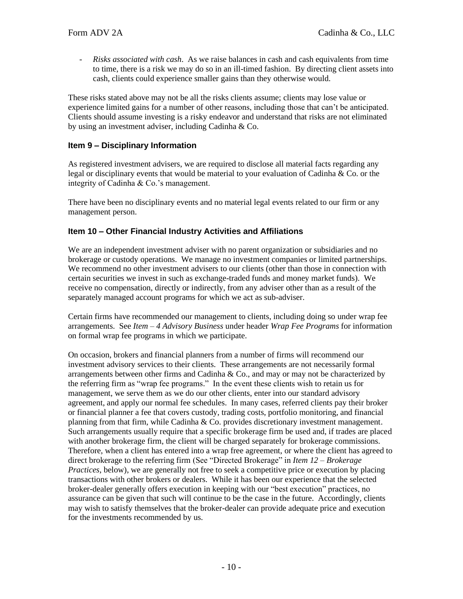- *Risks associated with cash*. As we raise balances in cash and cash equivalents from time to time, there is a risk we may do so in an ill-timed fashion. By directing client assets into cash, clients could experience smaller gains than they otherwise would.

These risks stated above may not be all the risks clients assume; clients may lose value or experience limited gains for a number of other reasons, including those that can't be anticipated. Clients should assume investing is a risky endeavor and understand that risks are not eliminated by using an investment adviser, including Cadinha & Co.

## <span id="page-9-0"></span>**Item 9 – Disciplinary Information**

As registered investment advisers, we are required to disclose all material facts regarding any legal or disciplinary events that would be material to your evaluation of Cadinha & Co. or the integrity of Cadinha & Co.'s management.

There have been no disciplinary events and no material legal events related to our firm or any management person.

#### <span id="page-9-1"></span>**Item 10 – Other Financial Industry Activities and Affiliations**

We are an independent investment adviser with no parent organization or subsidiaries and no brokerage or custody operations. We manage no investment companies or limited partnerships. We recommend no other investment advisers to our clients (other than those in connection with certain securities we invest in such as exchange-traded funds and money market funds). We receive no compensation, directly or indirectly, from any adviser other than as a result of the separately managed account programs for which we act as sub-adviser.

Certain firms have recommended our management to clients, including doing so under wrap fee arrangements. See *Item – 4 Advisory Business* under header *Wrap Fee Programs* for information on formal wrap fee programs in which we participate.

On occasion, brokers and financial planners from a number of firms will recommend our investment advisory services to their clients. These arrangements are not necessarily formal arrangements between other firms and Cadinha  $\&$  Co., and may or may not be characterized by the referring firm as "wrap fee programs." In the event these clients wish to retain us for management, we serve them as we do our other clients, enter into our standard advisory agreement, and apply our normal fee schedules. In many cases, referred clients pay their broker or financial planner a fee that covers custody, trading costs, portfolio monitoring, and financial planning from that firm, while Cadinha & Co. provides discretionary investment management. Such arrangements usually require that a specific brokerage firm be used and, if trades are placed with another brokerage firm, the client will be charged separately for brokerage commissions. Therefore, when a client has entered into a wrap free agreement, or where the client has agreed to direct brokerage to the referring firm (See "Directed Brokerage" in *Item 12 – Brokerage Practices*, below), we are generally not free to seek a competitive price or execution by placing transactions with other brokers or dealers. While it has been our experience that the selected broker-dealer generally offers execution in keeping with our "best execution" practices, no assurance can be given that such will continue to be the case in the future. Accordingly, clients may wish to satisfy themselves that the broker-dealer can provide adequate price and execution for the investments recommended by us.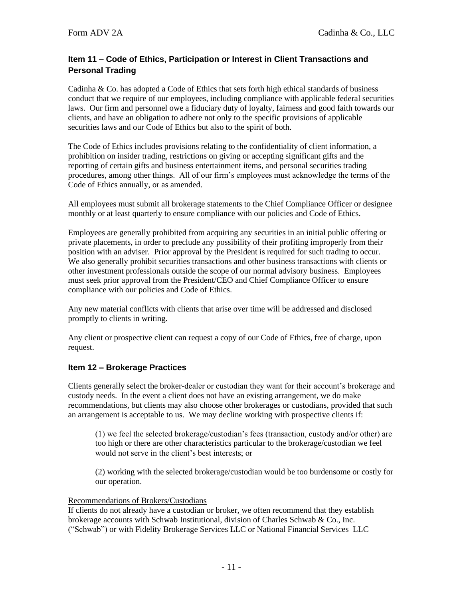## <span id="page-10-0"></span>**Item 11 – Code of Ethics, Participation or Interest in Client Transactions and Personal Trading**

Cadinha  $\&$  Co. has adopted a Code of Ethics that sets forth high ethical standards of business conduct that we require of our employees, including compliance with applicable federal securities laws. Our firm and personnel owe a fiduciary duty of loyalty, fairness and good faith towards our clients, and have an obligation to adhere not only to the specific provisions of applicable securities laws and our Code of Ethics but also to the spirit of both.

The Code of Ethics includes provisions relating to the confidentiality of client information, a prohibition on insider trading, restrictions on giving or accepting significant gifts and the reporting of certain gifts and business entertainment items, and personal securities trading procedures, among other things. All of our firm's employees must acknowledge the terms of the Code of Ethics annually, or as amended.

All employees must submit all brokerage statements to the Chief Compliance Officer or designee monthly or at least quarterly to ensure compliance with our policies and Code of Ethics.

Employees are generally prohibited from acquiring any securities in an initial public offering or private placements, in order to preclude any possibility of their profiting improperly from their position with an adviser. Prior approval by the President is required for such trading to occur. We also generally prohibit securities transactions and other business transactions with clients or other investment professionals outside the scope of our normal advisory business. Employees must seek prior approval from the President/CEO and Chief Compliance Officer to ensure compliance with our policies and Code of Ethics.

Any new material conflicts with clients that arise over time will be addressed and disclosed promptly to clients in writing.

Any client or prospective client can request a copy of our Code of Ethics, free of charge, upon request.

## <span id="page-10-1"></span>**Item 12 – Brokerage Practices**

Clients generally select the broker-dealer or custodian they want for their account's brokerage and custody needs. In the event a client does not have an existing arrangement, we do make recommendations, but clients may also choose other brokerages or custodians, provided that such an arrangement is acceptable to us. We may decline working with prospective clients if:

(1) we feel the selected brokerage/custodian's fees (transaction, custody and/or other) are too high or there are other characteristics particular to the brokerage/custodian we feel would not serve in the client's best interests; or

(2) working with the selected brokerage/custodian would be too burdensome or costly for our operation.

#### Recommendations of Brokers/Custodians

If clients do not already have a custodian or broker, we often recommend that they establish brokerage accounts with Schwab Institutional, division of Charles Schwab & Co., Inc. ("Schwab") or with Fidelity Brokerage Services LLC or National Financial Services LLC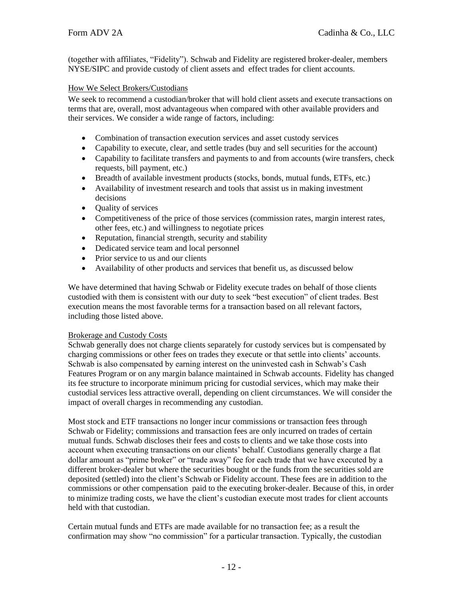(together with affiliates, "Fidelity"). Schwab and Fidelity are registered broker-dealer, members NYSE/SIPC and provide custody of client assets and effect trades for client accounts.

## How We Select Brokers/Custodians

We seek to recommend a custodian/broker that will hold client assets and execute transactions on terms that are, overall, most advantageous when compared with other available providers and their services. We consider a wide range of factors, including:

- Combination of transaction execution services and asset custody services
- Capability to execute, clear, and settle trades (buy and sell securities for the account)
- Capability to facilitate transfers and payments to and from accounts (wire transfers, check requests, bill payment, etc.)
- Breadth of available investment products (stocks, bonds, mutual funds, ETFs, etc.)
- Availability of investment research and tools that assist us in making investment decisions
- Quality of services
- Competitiveness of the price of those services (commission rates, margin interest rates, other fees, etc.) and willingness to negotiate prices
- Reputation, financial strength, security and stability
- Dedicated service team and local personnel
- Prior service to us and our clients
- Availability of other products and services that benefit us, as discussed below

We have determined that having Schwab or Fidelity execute trades on behalf of those clients custodied with them is consistent with our duty to seek "best execution" of client trades. Best execution means the most favorable terms for a transaction based on all relevant factors, including those listed above.

## Brokerage and Custody Costs

Schwab generally does not charge clients separately for custody services but is compensated by charging commissions or other fees on trades they execute or that settle into clients' accounts. Schwab is also compensated by earning interest on the uninvested cash in Schwab's Cash Features Program or on any margin balance maintained in Schwab accounts. Fidelity has changed its fee structure to incorporate minimum pricing for custodial services, which may make their custodial services less attractive overall, depending on client circumstances. We will consider the impact of overall charges in recommending any custodian.

Most stock and ETF transactions no longer incur commissions or transaction fees through Schwab or Fidelity; commissions and transaction fees are only incurred on trades of certain mutual funds. Schwab discloses their fees and costs to clients and we take those costs into account when executing transactions on our clients' behalf. Custodians generally charge a flat dollar amount as "prime broker" or "trade away" fee for each trade that we have executed by a different broker-dealer but where the securities bought or the funds from the securities sold are deposited (settled) into the client's Schwab or Fidelity account. These fees are in addition to the commissions or other compensation paid to the executing broker-dealer. Because of this, in order to minimize trading costs, we have the client's custodian execute most trades for client accounts held with that custodian.

Certain mutual funds and ETFs are made available for no transaction fee; as a result the confirmation may show "no commission" for a particular transaction. Typically, the custodian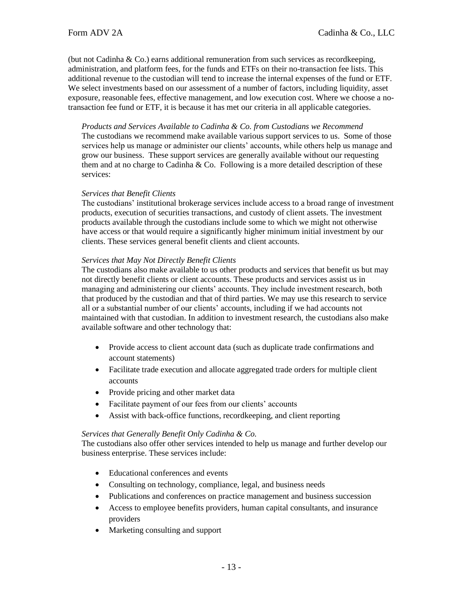(but not Cadinha  $& Co.$ ) earns additional remuneration from such services as record keeping, administration, and platform fees, for the funds and ETFs on their no-transaction fee lists. This additional revenue to the custodian will tend to increase the internal expenses of the fund or ETF. We select investments based on our assessment of a number of factors, including liquidity, asset exposure, reasonable fees, effective management, and low execution cost. Where we choose a notransaction fee fund or ETF, it is because it has met our criteria in all applicable categories.

*Products and Services Available to Cadinha & Co. from Custodians we Recommend* The custodians we recommend make available various support services to us. Some of those services help us manage or administer our clients' accounts, while others help us manage and grow our business. These support services are generally available without our requesting them and at no charge to Cadinha  $&$  Co. Following is a more detailed description of these services:

#### *Services that Benefit Clients*

The custodians' institutional brokerage services include access to a broad range of investment products, execution of securities transactions, and custody of client assets. The investment products available through the custodians include some to which we might not otherwise have access or that would require a significantly higher minimum initial investment by our clients. These services general benefit clients and client accounts.

#### *Services that May Not Directly Benefit Clients*

The custodians also make available to us other products and services that benefit us but may not directly benefit clients or client accounts. These products and services assist us in managing and administering our clients' accounts. They include investment research, both that produced by the custodian and that of third parties. We may use this research to service all or a substantial number of our clients' accounts, including if we had accounts not maintained with that custodian. In addition to investment research, the custodians also make available software and other technology that:

- Provide access to client account data (such as duplicate trade confirmations and account statements)
- Facilitate trade execution and allocate aggregated trade orders for multiple client accounts
- Provide pricing and other market data
- Facilitate payment of our fees from our clients' accounts
- Assist with back-office functions, recordkeeping, and client reporting

#### *Services that Generally Benefit Only Cadinha & Co.*

The custodians also offer other services intended to help us manage and further develop our business enterprise. These services include:

- Educational conferences and events
- Consulting on technology, compliance, legal, and business needs
- Publications and conferences on practice management and business succession
- Access to employee benefits providers, human capital consultants, and insurance providers
- Marketing consulting and support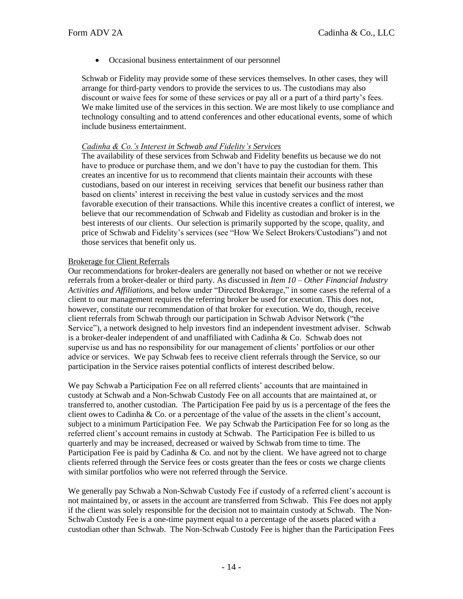• Occasional business entertainment of our personnel

Schwab or Fidelity may provide some of these services themselves. In other cases, they will arrange for third-party vendors to provide the services to us. The custodians may also discount or waive fees for some of these services or pay all or a part of a third party's fees. We make limited use of the services in this section. We are most likely to use compliance and technology consulting and to attend conferences and other educational events, some of which include business entertainment.

#### *Cadinha & Co.'s Interest in Schwab and Fidelity's Services*

The availability of these services from Schwab and Fidelity benefits us because we do not have to produce or purchase them, and we don't have to pay the custodian for them. This creates an incentive for us to recommend that clients maintain their accounts with these custodians, based on our interest in receiving services that benefit our business rather than based on clients' interest in receiving the best value in custody services and the most favorable execution of their transactions. While this incentive creates a conflict of interest, we believe that our recommendation of Schwab and Fidelity as custodian and broker is in the best interests of our clients. Our selection is primarily supported by the scope, quality, and price of Schwab and Fidelity's services (see "How We Select Brokers/Custodians") and not those services that benefit only us.

#### Brokerage for Client Referrals

Our recommendations for broker-dealers are generally not based on whether or not we receive referrals from a broker-dealer or third party. As discussed in *Item 10 – Other Financial Industry Activities and Affiliations*, and below under "Directed Brokerage," in some cases the referral of a client to our management requires the referring broker be used for execution. This does not, however, constitute our recommendation of that broker for execution. We do, though, receive client referrals from Schwab through our participation in Schwab Advisor Network ("the Service"), a network designed to help investors find an independent investment adviser. Schwab is a broker-dealer independent of and unaffiliated with Cadinha & Co. Schwab does not supervise us and has no responsibility for our management of clients' portfolios or our other advice or services. We pay Schwab fees to receive client referrals through the Service, so our participation in the Service raises potential conflicts of interest described below.

We pay Schwab a Participation Fee on all referred clients' accounts that are maintained in custody at Schwab and a Non-Schwab Custody Fee on all accounts that are maintained at, or transferred to, another custodian. The Participation Fee paid by us is a percentage of the fees the client owes to Cadinha & Co. or a percentage of the value of the assets in the client's account, subject to a minimum Participation Fee. We pay Schwab the Participation Fee for so long as the referred client's account remains in custody at Schwab. The Participation Fee is billed to us quarterly and may be increased, decreased or waived by Schwab from time to time. The Participation Fee is paid by Cadinha  $&$  Co. and not by the client. We have agreed not to charge clients referred through the Service fees or costs greater than the fees or costs we charge clients with similar portfolios who were not referred through the Service.

We generally pay Schwab a Non-Schwab Custody Fee if custody of a referred client's account is not maintained by, or assets in the account are transferred from Schwab. This Fee does not apply if the client was solely responsible for the decision not to maintain custody at Schwab. The Non-Schwab Custody Fee is a one-time payment equal to a percentage of the assets placed with a custodian other than Schwab. The Non-Schwab Custody Fee is higher than the Participation Fees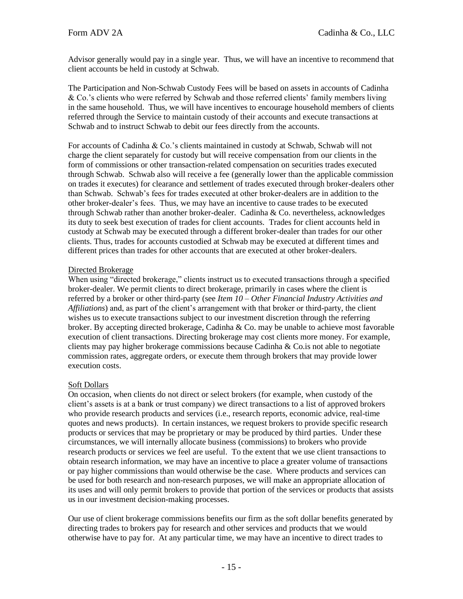Advisor generally would pay in a single year. Thus, we will have an incentive to recommend that client accounts be held in custody at Schwab.

The Participation and Non-Schwab Custody Fees will be based on assets in accounts of Cadinha & Co.'s clients who were referred by Schwab and those referred clients' family members living in the same household. Thus, we will have incentives to encourage household members of clients referred through the Service to maintain custody of their accounts and execute transactions at Schwab and to instruct Schwab to debit our fees directly from the accounts.

For accounts of Cadinha & Co.'s clients maintained in custody at Schwab, Schwab will not charge the client separately for custody but will receive compensation from our clients in the form of commissions or other transaction-related compensation on securities trades executed through Schwab. Schwab also will receive a fee (generally lower than the applicable commission on trades it executes) for clearance and settlement of trades executed through broker-dealers other than Schwab. Schwab's fees for trades executed at other broker-dealers are in addition to the other broker-dealer's fees. Thus, we may have an incentive to cause trades to be executed through Schwab rather than another broker-dealer. Cadinha & Co. nevertheless, acknowledges its duty to seek best execution of trades for client accounts. Trades for client accounts held in custody at Schwab may be executed through a different broker-dealer than trades for our other clients. Thus, trades for accounts custodied at Schwab may be executed at different times and different prices than trades for other accounts that are executed at other broker-dealers.

## Directed Brokerage

When using "directed brokerage," clients instruct us to executed transactions through a specified broker-dealer. We permit clients to direct brokerage, primarily in cases where the client is referred by a broker or other third-party (see *Item 10 – Other Financial Industry Activities and Affiliations*) and, as part of the client's arrangement with that broker or third-party, the client wishes us to execute transactions subject to our investment discretion through the referring broker. By accepting directed brokerage, Cadinha & Co. may be unable to achieve most favorable execution of client transactions. Directing brokerage may cost clients more money. For example, clients may pay higher brokerage commissions because Cadinha & Co.is not able to negotiate commission rates, aggregate orders, or execute them through brokers that may provide lower execution costs.

## Soft Dollars

On occasion, when clients do not direct or select brokers (for example, when custody of the client's assets is at a bank or trust company) we direct transactions to a list of approved brokers who provide research products and services (i.e., research reports, economic advice, real-time quotes and news products). In certain instances, we request brokers to provide specific research products or services that may be proprietary or may be produced by third parties. Under these circumstances, we will internally allocate business (commissions) to brokers who provide research products or services we feel are useful. To the extent that we use client transactions to obtain research information, we may have an incentive to place a greater volume of transactions or pay higher commissions than would otherwise be the case. Where products and services can be used for both research and non-research purposes, we will make an appropriate allocation of its uses and will only permit brokers to provide that portion of the services or products that assists us in our investment decision-making processes.

Our use of client brokerage commissions benefits our firm as the soft dollar benefits generated by directing trades to brokers pay for research and other services and products that we would otherwise have to pay for. At any particular time, we may have an incentive to direct trades to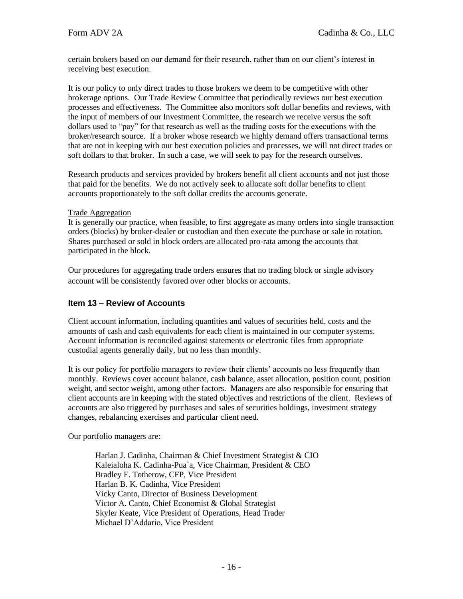certain brokers based on our demand for their research, rather than on our client's interest in receiving best execution.

It is our policy to only direct trades to those brokers we deem to be competitive with other brokerage options. Our Trade Review Committee that periodically reviews our best execution processes and effectiveness. The Committee also monitors soft dollar benefits and reviews, with the input of members of our Investment Committee, the research we receive versus the soft dollars used to "pay" for that research as well as the trading costs for the executions with the broker/research source. If a broker whose research we highly demand offers transactional terms that are not in keeping with our best execution policies and processes, we will not direct trades or soft dollars to that broker. In such a case, we will seek to pay for the research ourselves.

Research products and services provided by brokers benefit all client accounts and not just those that paid for the benefits. We do not actively seek to allocate soft dollar benefits to client accounts proportionately to the soft dollar credits the accounts generate.

#### Trade Aggregation

It is generally our practice, when feasible, to first aggregate as many orders into single transaction orders (blocks) by broker-dealer or custodian and then execute the purchase or sale in rotation. Shares purchased or sold in block orders are allocated pro-rata among the accounts that participated in the block.

<span id="page-15-0"></span>Our procedures for aggregating trade orders ensures that no trading block or single advisory account will be consistently favored over other blocks or accounts.

## **Item 13 – Review of Accounts**

Client account information, including quantities and values of securities held, costs and the amounts of cash and cash equivalents for each client is maintained in our computer systems. Account information is reconciled against statements or electronic files from appropriate custodial agents generally daily, but no less than monthly.

It is our policy for portfolio managers to review their clients' accounts no less frequently than monthly. Reviews cover account balance, cash balance, asset allocation, position count, position weight, and sector weight, among other factors. Managers are also responsible for ensuring that client accounts are in keeping with the stated objectives and restrictions of the client. Reviews of accounts are also triggered by purchases and sales of securities holdings, investment strategy changes, rebalancing exercises and particular client need.

Our portfolio managers are:

Harlan J. Cadinha, Chairman & Chief Investment Strategist & CIO Kaleialoha K. Cadinha-Pua`a, Vice Chairman, President & CEO Bradley F. Totherow, CFP, Vice President Harlan B. K. Cadinha, Vice President Vicky Canto, Director of Business Development Victor A. Canto, Chief Economist & Global Strategist Skyler Keate, Vice President of Operations, Head Trader Michael D'Addario, Vice President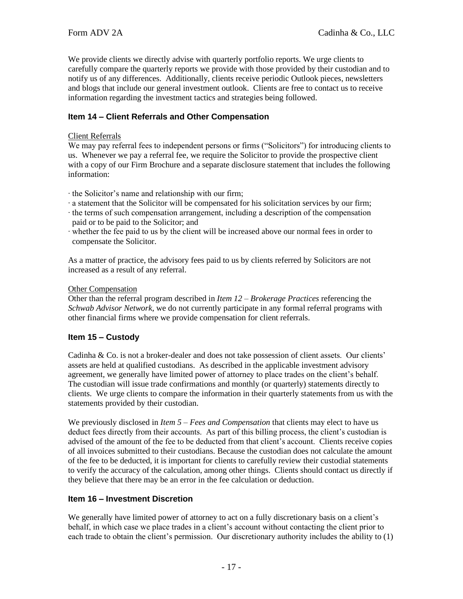We provide clients we directly advise with quarterly portfolio reports. We urge clients to carefully compare the quarterly reports we provide with those provided by their custodian and to notify us of any differences. Additionally, clients receive periodic Outlook pieces, newsletters and blogs that include our general investment outlook. Clients are free to contact us to receive information regarding the investment tactics and strategies being followed.

## **Item 14 – Client Referrals and Other Compensation**

#### Client Referrals

We may pay referral fees to independent persons or firms ("Solicitors") for introducing clients to us. Whenever we pay a referral fee, we require the Solicitor to provide the prospective client with a copy of our Firm Brochure and a separate disclosure statement that includes the following information:

- ∙ the Solicitor's name and relationship with our firm;
- ∙ a statement that the Solicitor will be compensated for his solicitation services by our firm;
- ∙ the terms of such compensation arrangement, including a description of the compensation paid or to be paid to the Solicitor; and
- ∙ whether the fee paid to us by the client will be increased above our normal fees in order to compensate the Solicitor.

As a matter of practice, the advisory fees paid to us by clients referred by Solicitors are not increased as a result of any referral.

#### Other Compensation

Other than the referral program described in *Item 12 – Brokerage Practices* referencing the *Schwab Advisor Network*, we do not currently participate in any formal referral programs with other financial firms where we provide compensation for client referrals.

## <span id="page-16-0"></span>**Item 15 – Custody**

Cadinha & Co. is not a broker-dealer and does not take possession of client assets. Our clients' assets are held at qualified custodians. As described in the applicable investment advisory agreement, we generally have limited power of attorney to place trades on the client's behalf. The custodian will issue trade confirmations and monthly (or quarterly) statements directly to clients. We urge clients to compare the information in their quarterly statements from us with the statements provided by their custodian.

We previously disclosed in *Item 5 – Fees and Compensation* that clients may elect to have us deduct fees directly from their accounts. As part of this billing process, the client's custodian is advised of the amount of the fee to be deducted from that client's account. Clients receive copies of all invoices submitted to their custodians. Because the custodian does not calculate the amount of the fee to be deducted, it is important for clients to carefully review their custodial statements to verify the accuracy of the calculation, among other things. Clients should contact us directly if they believe that there may be an error in the fee calculation or deduction.

## <span id="page-16-1"></span>**Item 16 – Investment Discretion**

We generally have limited power of attorney to act on a fully discretionary basis on a client's behalf, in which case we place trades in a client's account without contacting the client prior to each trade to obtain the client's permission. Our discretionary authority includes the ability to (1)